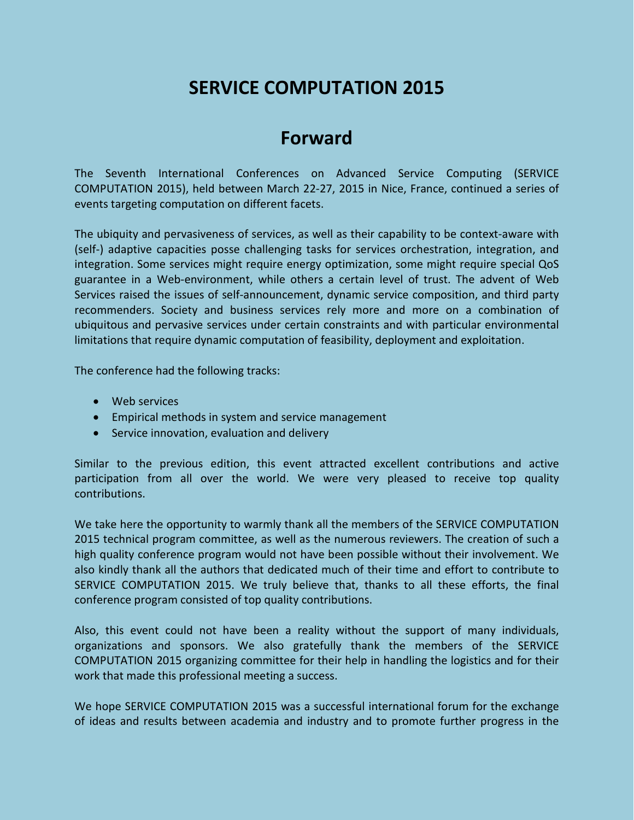# **SERVICE COMPUTATION 2015**

## **Forward**

The Seventh International Conferences on Advanced Service Computing (SERVICE COMPUTATION 2015), held between March 22-27, 2015 in Nice, France, continued a series of events targeting computation on different facets.

The ubiquity and pervasiveness of services, as well as their capability to be context-aware with (self-) adaptive capacities posse challenging tasks for services orchestration, integration, and integration. Some services might require energy optimization, some might require special QoS guarantee in a Web-environment, while others a certain level of trust. The advent of Web Services raised the issues of self-announcement, dynamic service composition, and third party recommenders. Society and business services rely more and more on a combination of ubiquitous and pervasive services under certain constraints and with particular environmental limitations that require dynamic computation of feasibility, deployment and exploitation.

The conference had the following tracks:

- Web services
- Empirical methods in system and service management
- Service innovation, evaluation and delivery

Similar to the previous edition, this event attracted excellent contributions and active participation from all over the world. We were very pleased to receive top quality contributions.

We take here the opportunity to warmly thank all the members of the SERVICE COMPUTATION 2015 technical program committee, as well as the numerous reviewers. The creation of such a high quality conference program would not have been possible without their involvement. We also kindly thank all the authors that dedicated much of their time and effort to contribute to SERVICE COMPUTATION 2015. We truly believe that, thanks to all these efforts, the final conference program consisted of top quality contributions.

Also, this event could not have been a reality without the support of many individuals, organizations and sponsors. We also gratefully thank the members of the SERVICE COMPUTATION 2015 organizing committee for their help in handling the logistics and for their work that made this professional meeting a success.

We hope SERVICE COMPUTATION 2015 was a successful international forum for the exchange of ideas and results between academia and industry and to promote further progress in the